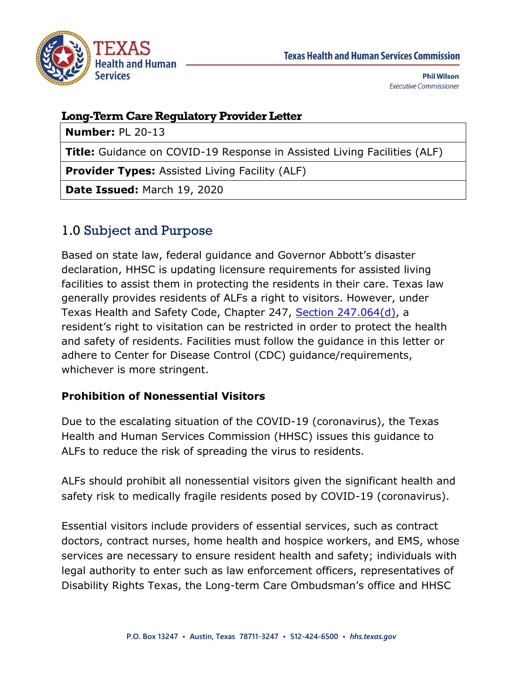

### **Long-Term Care Regulatory Provider Letter**

**Number:** PL 20-13

**Title:** Guidance on COVID-19 Response in Assisted Living Facilities (ALF)

**Provider Types:** Assisted Living Facility (ALF)

**Date Issued:** March 19, 2020

## 1.0 Subject and Purpose

Based on state law, federal guidance and Governor Abbott's disaster declaration, HHSC is updating licensure requirements for assisted living facilities to assist them in protecting the residents in their care. Texas law generally provides residents of ALFs a right to visitors. However, under Texas Health and Safety Code, Chapter 247, [Section 247.064\(d\),](https://statutes.capitol.texas.gov/Docs/HS/htm/HS.247.htm#247.064) a resident's right to visitation can be restricted in order to protect the health and safety of residents. Facilities must follow the guidance in this letter or adhere to Center for Disease Control (CDC) guidance/requirements, whichever is more stringent.

#### **Prohibition of Nonessential Visitors**

Due to the escalating situation of the COVID-19 (coronavirus), the Texas Health and Human Services Commission (HHSC) issues this guidance to ALFs to reduce the risk of spreading the virus to residents.

ALFs should prohibit all nonessential visitors given the significant health and safety risk to medically fragile residents posed by COVID-19 (coronavirus).

Essential visitors include providers of essential services, such as contract doctors, contract nurses, home health and hospice workers, and EMS, whose services are necessary to ensure resident health and safety; individuals with legal authority to enter such as law enforcement officers, representatives of Disability Rights Texas, the Long-term Care Ombudsman's office and HHSC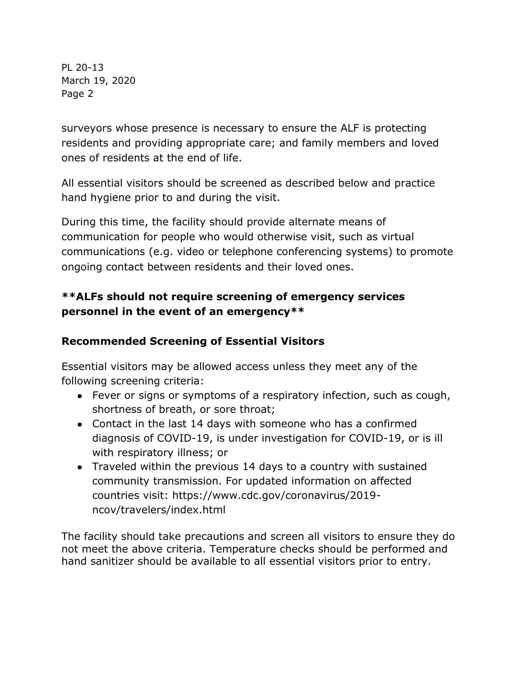surveyors whose presence is necessary to ensure the ALF is protecting residents and providing appropriate care; and family members and loved ones of residents at the end of life.

All essential visitors should be screened as described below and practice hand hygiene prior to and during the visit.

During this time, the facility should provide alternate means of communication for people who would otherwise visit, such as virtual communications (e.g. video or telephone conferencing systems) to promote ongoing contact between residents and their loved ones.

### **\*\*ALFs should not require screening of emergency services personnel in the event of an emergency\*\***

### **Recommended Screening of Essential Visitors**

Essential visitors may be allowed access unless they meet any of the following screening criteria:

- Fever or signs or symptoms of a respiratory infection, such as cough, shortness of breath, or sore throat;
- Contact in the last 14 days with someone who has a confirmed diagnosis of COVID-19, is under investigation for COVID-19, or is ill with respiratory illness; or
- Traveled within the previous 14 days to a country with sustained community transmission. For updated information on affected countries visit: https://www.cdc.gov/coronavirus/2019 ncov/travelers/index.html

The facility should take precautions and screen all visitors to ensure they do not meet the above criteria. Temperature checks should be performed and hand sanitizer should be available to all essential visitors prior to entry.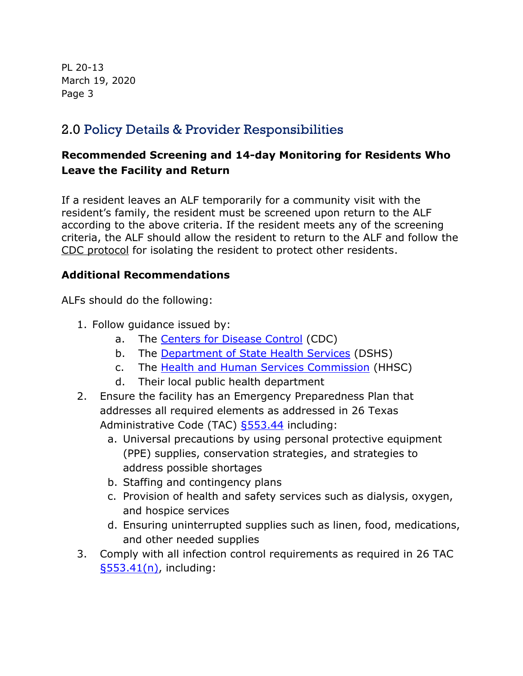# 2.0 Policy Details & Provider Responsibilities

### **Recommended Screening and 14-day Monitoring for Residents Who Leave the Facility and Return**

If a resident leaves an ALF temporarily for a community visit with the resident's family, the resident must be screened upon return to the ALF according to the above criteria. If the resident meets any of the screening criteria, the ALF should allow the resident to return to the ALF and follow the [CDC protocol](https://www.cdc.gov/coronavirus/2019-ncov/healthcare-facilities/prevent-spread-in-long-term-care-facilities.html) for isolating the resident to protect other residents.

#### **Additional Recommendations**

ALFs should do the following:

- 1. Follow guidance issued by:
	- a. The [Centers for Disease Control](https://www.cdc.gov/coronavirus/2019-nCoV/index.html) (CDC)
	- b. The [Department of State Health Services](https://dshs.texas.gov/coronavirus/) (DSHS)
	- c. The [Health and Human Services Commission](https://hhs.texas.gov/services/health/coronavirus-covid-19) (HHSC)
	- d. Their local public health department
- 2. Ensure the facility has an Emergency Preparedness Plan that addresses all required elements as addressed in 26 Texas Administrative Code (TAC) [§553.44](https://texreg.sos.state.tx.us/public/readtac$ext.TacPage?sl=T&app=9&p_dir=F&p_rloc=198297&p_tloc=14839&p_ploc=1&pg=2&p_tac=&ti=26&pt=1&ch=553&rl=44) including:
	- a. Universal precautions by using personal protective equipment (PPE) supplies, conservation strategies, and strategies to address possible shortages
	- b. Staffing and contingency plans
	- c. Provision of health and safety services such as dialysis, oxygen, and hospice services
	- d. Ensuring uninterrupted supplies such as linen, food, medications, and other needed supplies
- 3. Comply with all infection control requirements as required in 26 TAC [§553.41\(n\),](https://texreg.sos.state.tx.us/public/readtac$ext.TacPage?sl=R&app=9&p_dir=&p_rloc=&p_tloc=&p_ploc=&pg=1&p_tac=&ti=26&pt=1&ch=553&rl=41) including: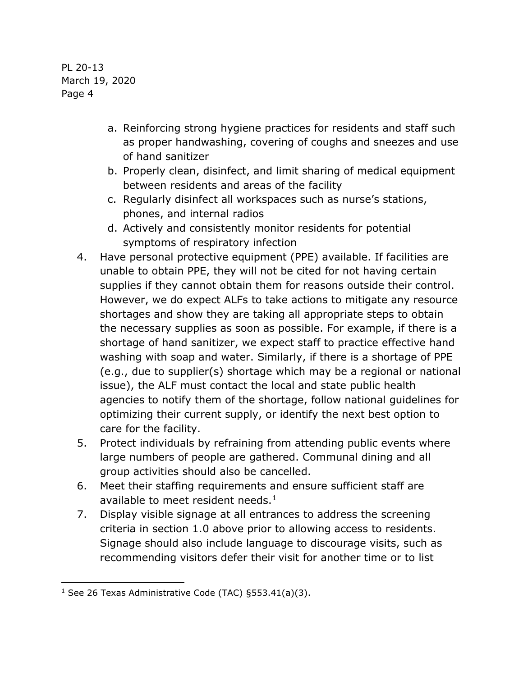- a. Reinforcing strong hygiene practices for residents and staff such as proper handwashing, covering of coughs and sneezes and use of hand sanitizer
- b. Properly clean, disinfect, and limit sharing of medical equipment between residents and areas of the facility
- c. Regularly disinfect all workspaces such as nurse's stations, phones, and internal radios
- d. Actively and consistently monitor residents for potential symptoms of respiratory infection
- 4. Have personal protective equipment (PPE) available. If facilities are unable to obtain PPE, they will not be cited for not having certain supplies if they cannot obtain them for reasons outside their control. However, we do expect ALFs to take actions to mitigate any resource shortages and show they are taking all appropriate steps to obtain the necessary supplies as soon as possible. For example, if there is a shortage of hand sanitizer, we expect staff to practice effective hand washing with soap and water. Similarly, if there is a shortage of PPE (e.g., due to supplier(s) shortage which may be a regional or national issue), the ALF must contact the local and state public health agencies to notify them of the shortage, follow national guidelines for optimizing their current supply, or identify the next best option to care for the facility.
- 5. Protect individuals by refraining from attending public events where large numbers of people are gathered. Communal dining and all group activities should also be cancelled.
- 6. Meet their staffing requirements and ensure sufficient staff are available to meet resident needs.<sup>1</sup>
- 7. Display visible signage at all entrances to address the screening criteria in section 1.0 above prior to allowing access to residents. Signage should also include language to discourage visits, such as recommending visitors defer their visit for another time or to list

j

<sup>&</sup>lt;sup>1</sup> See 26 Texas Administrative Code (TAC)  $§553.41(a)(3)$ .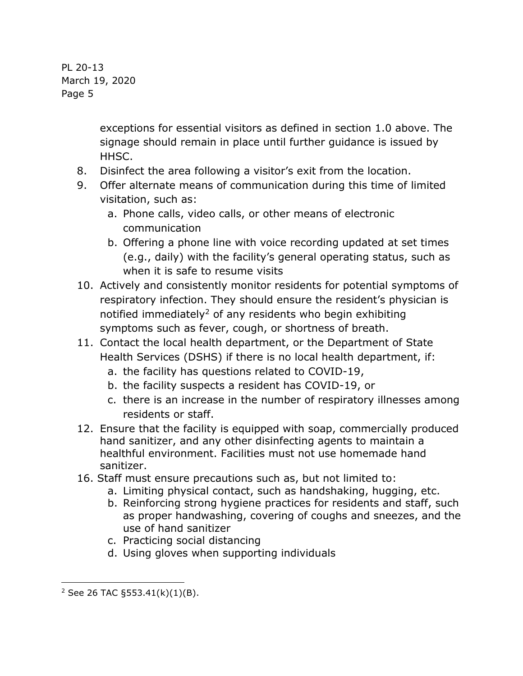> exceptions for essential visitors as defined in section 1.0 above. The signage should remain in place until further guidance is issued by HHSC.

- 8. Disinfect the area following a visitor's exit from the location.
- 9. Offer alternate means of communication during this time of limited visitation, such as:
	- a. Phone calls, video calls, or other means of electronic communication
	- b. Offering a phone line with voice recording updated at set times (e.g., daily) with the facility's general operating status, such as when it is safe to resume visits
- 10. Actively and consistently monitor residents for potential symptoms of respiratory infection. They should ensure the resident's physician is notified immediately<sup>2</sup> of any residents who begin exhibiting symptoms such as fever, cough, or shortness of breath.
- 11. Contact the local health department, or the Department of State Health Services (DSHS) if there is no local health department, if:
	- a. the facility has questions related to COVID-19,
	- b. the facility suspects a resident has COVID-19, or
	- c. there is an increase in the number of respiratory illnesses among residents or staff.
- 12. Ensure that the facility is equipped with soap, commercially produced hand sanitizer, and any other disinfecting agents to maintain a healthful environment. Facilities must not use homemade hand sanitizer.
- 16. Staff must ensure precautions such as, but not limited to:
	- a. Limiting physical contact, such as handshaking, hugging, etc.
	- b. Reinforcing strong hygiene practices for residents and staff, such as proper handwashing, covering of coughs and sneezes, and the use of hand sanitizer
	- c. Practicing social distancing
	- d. Using gloves when supporting individuals

j

 $2$  See 26 TAC §553.41(k)(1)(B).